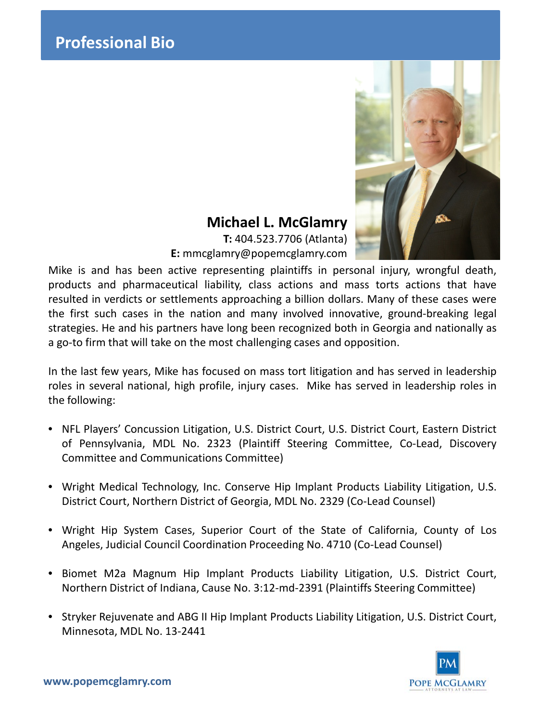

# **Michael L. McGlamry**

**T:** 404.523.7706 (Atlanta) **E:** mmcglamry@popemcglamry.com

Mike is and has been active representing plaintiffs in personal injury, wrongful death, products and pharmaceutical liability, class actions and mass torts actions that have resulted in verdicts or settlements approaching a billion dollars. Many of these cases were the first such cases in the nation and many involved innovative, ground-breaking legal strategies. He and his partners have long been recognized both in Georgia and nationally as a go-to firm that will take on the most challenging cases and opposition.

In the last few years, Mike has focused on mass tort litigation and has served in leadership roles in several national, high profile, injury cases. Mike has served in leadership roles in the following:

- NFL Players' Concussion Litigation, U.S. District Court, U.S. District Court, Eastern District of Pennsylvania, MDL No. 2323 (Plaintiff Steering Committee, Co-Lead, Discovery Committee and Communications Committee)
- Wright Medical Technology, Inc. Conserve Hip Implant Products Liability Litigation, U.S. District Court, Northern District of Georgia, MDL No. 2329 (Co-Lead Counsel)
- Wright Hip System Cases, Superior Court of the State of California, County of Los Angeles, Judicial Council Coordination Proceeding No. 4710 (Co-Lead Counsel)
- Biomet M2a Magnum Hip Implant Products Liability Litigation, U.S. District Court, Northern District of Indiana, Cause No. 3:12-md-2391 (Plaintiffs Steering Committee)
- Stryker Rejuvenate and ABG II Hip Implant Products Liability Litigation, U.S. District Court, Minnesota, MDL No. 13-2441

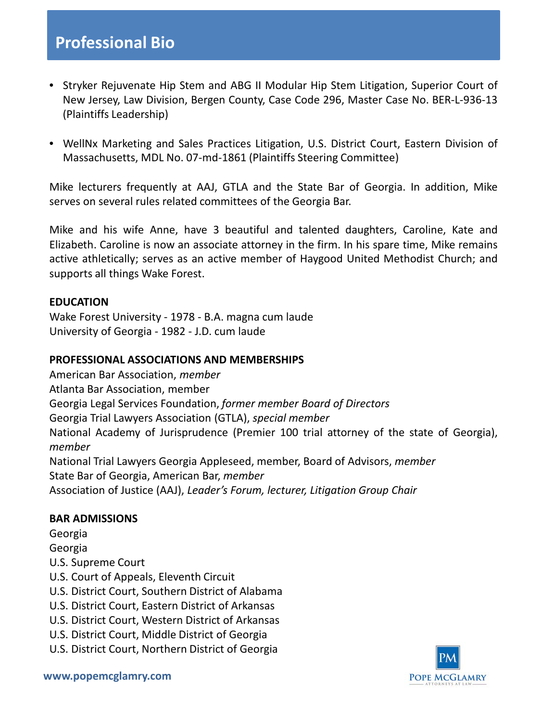# **Professional Bio**

- Stryker Rejuvenate Hip Stem and ABG II Modular Hip Stem Litigation, Superior Court of New Jersey, Law Division, Bergen County, Case Code 296, Master Case No. BER-L-936-13 (Plaintiffs Leadership)
- WellNx Marketing and Sales Practices Litigation, U.S. District Court, Eastern Division of Massachusetts, MDL No. 07-md-1861 (Plaintiffs Steering Committee)

Mike lecturers frequently at AAJ, GTLA and the State Bar of Georgia. In addition, Mike serves on several rules related committees of the Georgia Bar.

Mike and his wife Anne, have 3 beautiful and talented daughters, Caroline, Kate and Elizabeth. Caroline is now an associate attorney in the firm. In his spare time, Mike remains active athletically; serves as an active member of Haygood United Methodist Church; and supports all things Wake Forest.

## **EDUCATION**

Wake Forest University - 1978 - B.A. magna cum laude University of Georgia - 1982 - J.D. cum laude

# **PROFESSIONAL ASSOCIATIONS AND MEMBERSHIPS**

American Bar Association, *member* Atlanta Bar Association, member Georgia Legal Services Foundation, *former member Board of Directors* Georgia Trial Lawyers Association (GTLA), *special member* National Academy of Jurisprudence (Premier 100 trial attorney of the state of Georgia), *member* National Trial Lawyers Georgia Appleseed, member, Board of Advisors, *member* State Bar of Georgia, American Bar, *member*

Association of Justice (AAJ), *Leader's Forum, lecturer, Litigation Group Chair*

#### **BAR ADMISSIONS**

Georgia

Georgia

U.S. Supreme Court

- U.S. Court of Appeals, Eleventh Circuit
- U.S. District Court, Southern District of Alabama
- U.S. District Court, Eastern District of Arkansas
- U.S. District Court, Western District of Arkansas
- U.S. District Court, Middle District of Georgia
- U.S. District Court, Northern District of Georgia